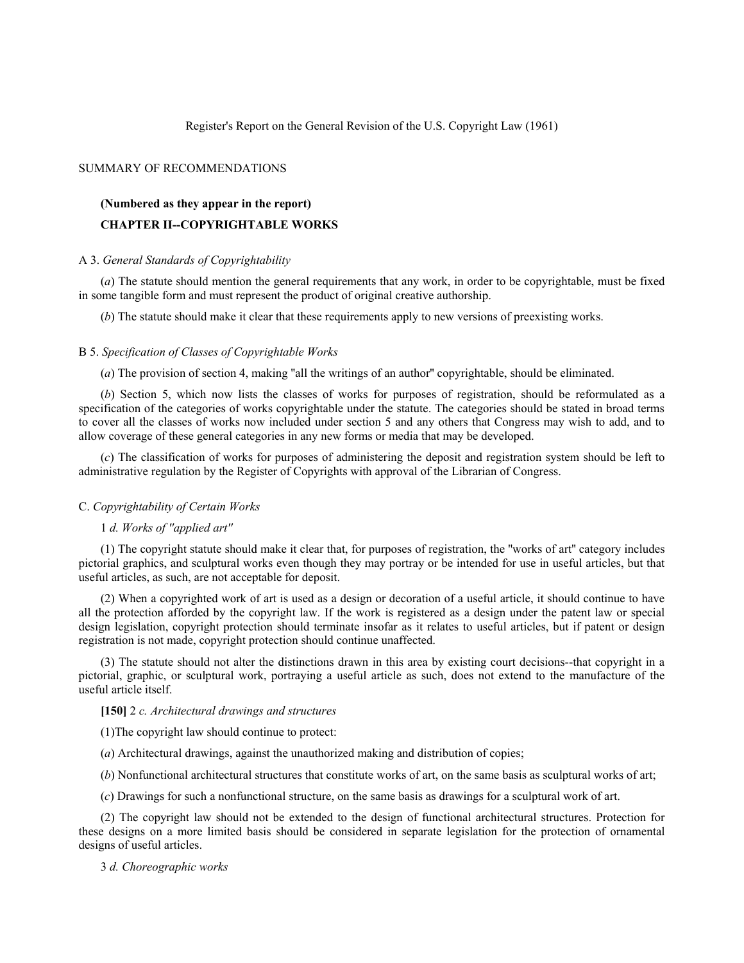Register's Report on the General Revision of the U.S. Copyright Law (1961)

# SUMMARY OF RECOMMENDATIONS

# **(Numbered as they appear in the report) CHAPTER II--COPYRIGHTABLE WORKS**

## A 3. *General Standards of Copyrightability*

(*a*) The statute should mention the general requirements that any work, in order to be copyrightable, must be fixed in some tangible form and must represent the product of original creative authorship.

(*b*) The statute should make it clear that these requirements apply to new versions of preexisting works.

### B 5. *Specification of Classes of Copyrightable Works*

(*a*) The provision of section 4, making "all the writings of an author" copyrightable, should be eliminated.

(*b*) Section 5, which now lists the classes of works for purposes of registration, should be reformulated as a specification of the categories of works copyrightable under the statute. The categories should be stated in broad terms to cover all the classes of works now included under section 5 and any others that Congress may wish to add, and to allow coverage of these general categories in any new forms or media that may be developed.

(*c*) The classification of works for purposes of administering the deposit and registration system should be left to administrative regulation by the Register of Copyrights with approval of the Librarian of Congress.

### C. *Copyrightability of Certain Works*

# 1 *d. Works of ''applied art''*

(1) The copyright statute should make it clear that, for purposes of registration, the ''works of art'' category includes pictorial graphics, and sculptural works even though they may portray or be intended for use in useful articles, but that useful articles, as such, are not acceptable for deposit.

(2) When a copyrighted work of art is used as a design or decoration of a useful article, it should continue to have all the protection afforded by the copyright law. If the work is registered as a design under the patent law or special design legislation, copyright protection should terminate insofar as it relates to useful articles, but if patent or design registration is not made, copyright protection should continue unaffected.

(3) The statute should not alter the distinctions drawn in this area by existing court decisions--that copyright in a pictorial, graphic, or sculptural work, portraying a useful article as such, does not extend to the manufacture of the useful article itself.

# **[150]** 2 *c. Architectural drawings and structures*

(1)The copyright law should continue to protect:

- (*a*) Architectural drawings, against the unauthorized making and distribution of copies;
- (*b*) Nonfunctional architectural structures that constitute works of art, on the same basis as sculptural works of art;
- (*c*) Drawings for such a nonfunctional structure, on the same basis as drawings for a sculptural work of art.

(2) The copyright law should not be extended to the design of functional architectural structures. Protection for these designs on a more limited basis should be considered in separate legislation for the protection of ornamental designs of useful articles.

3 *d. Choreographic works*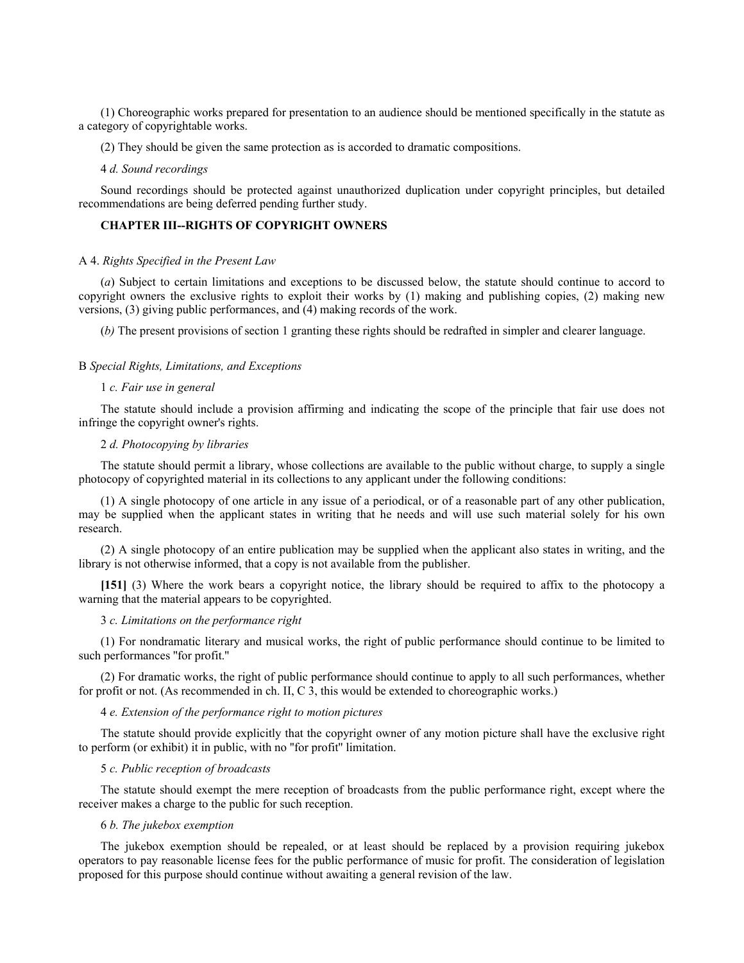(1) Choreographic works prepared for presentation to an audience should be mentioned specifically in the statute as a category of copyrightable works.

(2) They should be given the same protection as is accorded to dramatic compositions.

### 4 *d. Sound recordings*

Sound recordings should be protected against unauthorized duplication under copyright principles, but detailed recommendations are being deferred pending further study.

# **CHAPTER III--RIGHTS OF COPYRIGHT OWNERS**

# A 4. *Rights Specified in the Present Law*

(*a*) Subject to certain limitations and exceptions to be discussed below, the statute should continue to accord to copyright owners the exclusive rights to exploit their works by (1) making and publishing copies, (2) making new versions, (3) giving public performances, and (4) making records of the work.

(*b)* The present provisions of section 1 granting these rights should be redrafted in simpler and clearer language.

### B *Special Rights, Limitations, and Exceptions*

#### 1 *c. Fair use in general*

The statute should include a provision affirming and indicating the scope of the principle that fair use does not infringe the copyright owner's rights.

## 2 *d. Photocopying by libraries*

The statute should permit a library, whose collections are available to the public without charge, to supply a single photocopy of copyrighted material in its collections to any applicant under the following conditions:

(1) A single photocopy of one article in any issue of a periodical, or of a reasonable part of any other publication, may be supplied when the applicant states in writing that he needs and will use such material solely for his own research.

(2) A single photocopy of an entire publication may be supplied when the applicant also states in writing, and the library is not otherwise informed, that a copy is not available from the publisher.

**[151]** (3) Where the work bears a copyright notice, the library should be required to affix to the photocopy a warning that the material appears to be copyrighted.

# 3 *c. Limitations on the performance right*

(1) For nondramatic literary and musical works, the right of public performance should continue to be limited to such performances ''for profit.''

(2) For dramatic works, the right of public performance should continue to apply to all such performances, whether for profit or not. (As recommended in ch. II, C 3, this would be extended to choreographic works.)

## 4 *e. Extension of the performance right to motion pictures*

The statute should provide explicitly that the copyright owner of any motion picture shall have the exclusive right to perform (or exhibit) it in public, with no ''for profit'' limitation.

## 5 *c. Public reception of broadcasts*

The statute should exempt the mere reception of broadcasts from the public performance right, except where the receiver makes a charge to the public for such reception.

### 6 *b. The jukebox exemption*

The jukebox exemption should be repealed, or at least should be replaced by a provision requiring jukebox operators to pay reasonable license fees for the public performance of music for profit. The consideration of legislation proposed for this purpose should continue without awaiting a general revision of the law.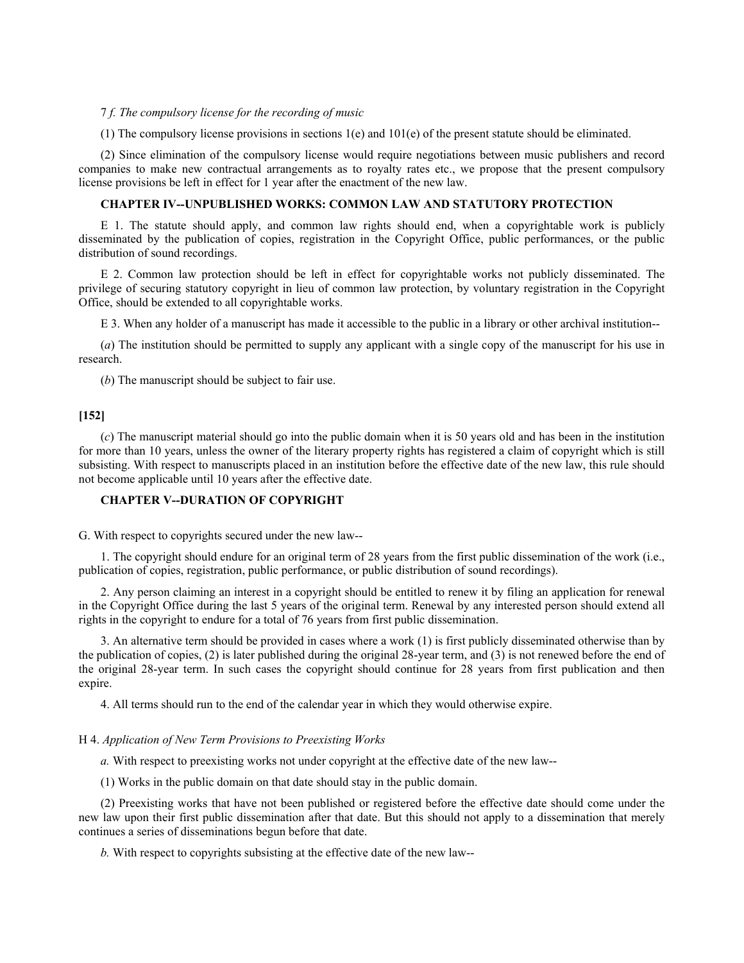## 7 *f. The compulsory license for the recording of music*

(1) The compulsory license provisions in sections 1(e) and 101(e) of the present statute should be eliminated.

(2) Since elimination of the compulsory license would require negotiations between music publishers and record companies to make new contractual arrangements as to royalty rates etc., we propose that the present compulsory license provisions be left in effect for 1 year after the enactment of the new law.

# **CHAPTER IV--UNPUBLISHED WORKS: COMMON LAW AND STATUTORY PROTECTION**

E 1. The statute should apply, and common law rights should end, when a copyrightable work is publicly disseminated by the publication of copies, registration in the Copyright Office, public performances, or the public distribution of sound recordings.

E 2. Common law protection should be left in effect for copyrightable works not publicly disseminated. The privilege of securing statutory copyright in lieu of common law protection, by voluntary registration in the Copyright Office, should be extended to all copyrightable works.

E 3. When any holder of a manuscript has made it accessible to the public in a library or other archival institution--

(*a*) The institution should be permitted to supply any applicant with a single copy of the manuscript for his use in research.

(*b*) The manuscript should be subject to fair use.

# **[152]**

(*c*) The manuscript material should go into the public domain when it is 50 years old and has been in the institution for more than 10 years, unless the owner of the literary property rights has registered a claim of copyright which is still subsisting. With respect to manuscripts placed in an institution before the effective date of the new law, this rule should not become applicable until 10 years after the effective date.

# **CHAPTER V--DURATION OF COPYRIGHT**

G. With respect to copyrights secured under the new law--

1. The copyright should endure for an original term of 28 years from the first public dissemination of the work (i.e., publication of copies, registration, public performance, or public distribution of sound recordings).

2. Any person claiming an interest in a copyright should be entitled to renew it by filing an application for renewal in the Copyright Office during the last 5 years of the original term. Renewal by any interested person should extend all rights in the copyright to endure for a total of 76 years from first public dissemination.

3. An alternative term should be provided in cases where a work (1) is first publicly disseminated otherwise than by the publication of copies, (2) is later published during the original 28-year term, and (3) is not renewed before the end of the original 28-year term. In such cases the copyright should continue for 28 years from first publication and then expire.

4. All terms should run to the end of the calendar year in which they would otherwise expire.

### H 4. *Application of New Term Provisions to Preexisting Works*

*a*. With respect to preexisting works not under copyright at the effective date of the new law--

(1) Works in the public domain on that date should stay in the public domain.

(2) Preexisting works that have not been published or registered before the effective date should come under the new law upon their first public dissemination after that date. But this should not apply to a dissemination that merely continues a series of disseminations begun before that date.

*b.* With respect to copyrights subsisting at the effective date of the new law--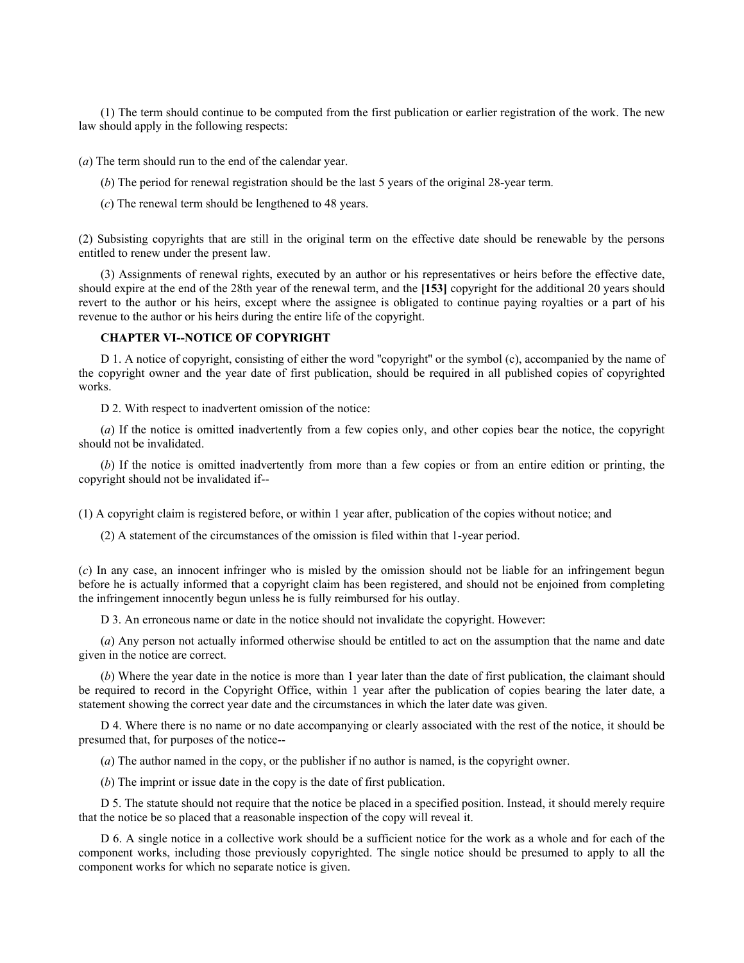(1) The term should continue to be computed from the first publication or earlier registration of the work. The new law should apply in the following respects:

(*a*) The term should run to the end of the calendar year.

- (*b*) The period for renewal registration should be the last 5 years of the original 28-year term.
- (*c*) The renewal term should be lengthened to 48 years.

(2) Subsisting copyrights that are still in the original term on the effective date should be renewable by the persons entitled to renew under the present law.

(3) Assignments of renewal rights, executed by an author or his representatives or heirs before the effective date, should expire at the end of the 28th year of the renewal term, and the **[153]** copyright for the additional 20 years should revert to the author or his heirs, except where the assignee is obligated to continue paying royalties or a part of his revenue to the author or his heirs during the entire life of the copyright.

# **CHAPTER VI--NOTICE OF COPYRIGHT**

D 1. A notice of copyright, consisting of either the word ''copyright'' or the symbol (c), accompanied by the name of the copyright owner and the year date of first publication, should be required in all published copies of copyrighted works.

D 2. With respect to inadvertent omission of the notice:

(*a*) If the notice is omitted inadvertently from a few copies only, and other copies bear the notice, the copyright should not be invalidated.

(*b*) If the notice is omitted inadvertently from more than a few copies or from an entire edition or printing, the copyright should not be invalidated if--

(1) A copyright claim is registered before, or within 1 year after, publication of the copies without notice; and

(2) A statement of the circumstances of the omission is filed within that 1-year period.

(*c*) In any case, an innocent infringer who is misled by the omission should not be liable for an infringement begun before he is actually informed that a copyright claim has been registered, and should not be enjoined from completing the infringement innocently begun unless he is fully reimbursed for his outlay.

D 3. An erroneous name or date in the notice should not invalidate the copyright. However:

(*a*) Any person not actually informed otherwise should be entitled to act on the assumption that the name and date given in the notice are correct.

(*b*) Where the year date in the notice is more than 1 year later than the date of first publication, the claimant should be required to record in the Copyright Office, within 1 year after the publication of copies bearing the later date, a statement showing the correct year date and the circumstances in which the later date was given.

D 4. Where there is no name or no date accompanying or clearly associated with the rest of the notice, it should be presumed that, for purposes of the notice--

(*a*) The author named in the copy, or the publisher if no author is named, is the copyright owner.

(*b*) The imprint or issue date in the copy is the date of first publication.

D 5. The statute should not require that the notice be placed in a specified position. Instead, it should merely require that the notice be so placed that a reasonable inspection of the copy will reveal it.

D 6. A single notice in a collective work should be a sufficient notice for the work as a whole and for each of the component works, including those previously copyrighted. The single notice should be presumed to apply to all the component works for which no separate notice is given.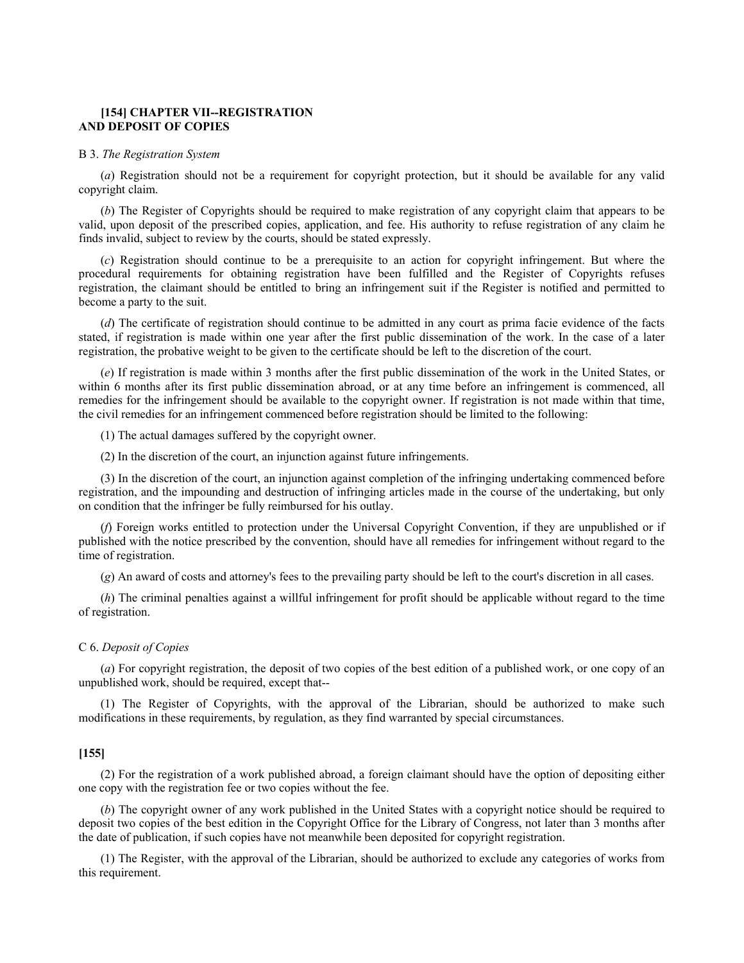# **[154] CHAPTER VII--REGISTRATION AND DEPOSIT OF COPIES**

### B 3. *The Registration System*

(*a*) Registration should not be a requirement for copyright protection, but it should be available for any valid copyright claim.

(*b*) The Register of Copyrights should be required to make registration of any copyright claim that appears to be valid, upon deposit of the prescribed copies, application, and fee. His authority to refuse registration of any claim he finds invalid, subject to review by the courts, should be stated expressly.

(*c*) Registration should continue to be a prerequisite to an action for copyright infringement. But where the procedural requirements for obtaining registration have been fulfilled and the Register of Copyrights refuses registration, the claimant should be entitled to bring an infringement suit if the Register is notified and permitted to become a party to the suit.

(*d*) The certificate of registration should continue to be admitted in any court as prima facie evidence of the facts stated, if registration is made within one year after the first public dissemination of the work. In the case of a later registration, the probative weight to be given to the certificate should be left to the discretion of the court.

(*e*) If registration is made within 3 months after the first public dissemination of the work in the United States, or within 6 months after its first public dissemination abroad, or at any time before an infringement is commenced, all remedies for the infringement should be available to the copyright owner. If registration is not made within that time, the civil remedies for an infringement commenced before registration should be limited to the following:

(1) The actual damages suffered by the copyright owner.

(2) In the discretion of the court, an injunction against future infringements.

(3) In the discretion of the court, an injunction against completion of the infringing undertaking commenced before registration, and the impounding and destruction of infringing articles made in the course of the undertaking, but only on condition that the infringer be fully reimbursed for his outlay.

(*f*) Foreign works entitled to protection under the Universal Copyright Convention, if they are unpublished or if published with the notice prescribed by the convention, should have all remedies for infringement without regard to the time of registration.

(*g*) An award of costs and attorney's fees to the prevailing party should be left to the court's discretion in all cases.

(*h*) The criminal penalties against a willful infringement for profit should be applicable without regard to the time of registration.

### C 6. *Deposit of Copies*

(*a*) For copyright registration, the deposit of two copies of the best edition of a published work, or one copy of an unpublished work, should be required, except that--

(1) The Register of Copyrights, with the approval of the Librarian, should be authorized to make such modifications in these requirements, by regulation, as they find warranted by special circumstances.

## **[155]**

(2) For the registration of a work published abroad, a foreign claimant should have the option of depositing either one copy with the registration fee or two copies without the fee.

(*b*) The copyright owner of any work published in the United States with a copyright notice should be required to deposit two copies of the best edition in the Copyright Office for the Library of Congress, not later than 3 months after the date of publication, if such copies have not meanwhile been deposited for copyright registration.

(1) The Register, with the approval of the Librarian, should be authorized to exclude any categories of works from this requirement.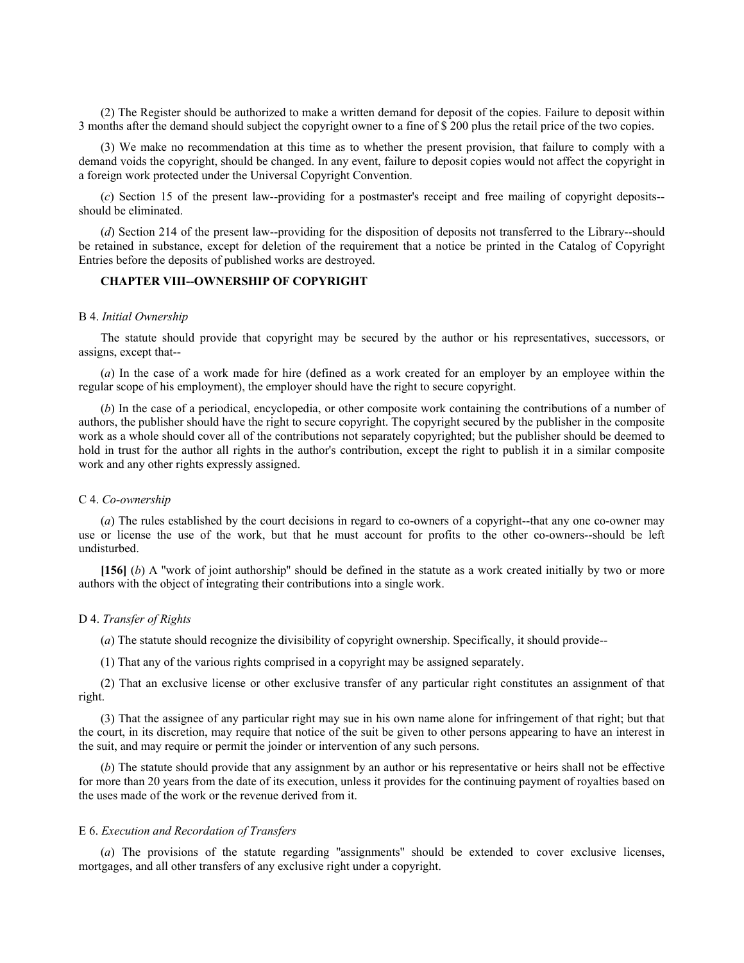(2) The Register should be authorized to make a written demand for deposit of the copies. Failure to deposit within 3 months after the demand should subject the copyright owner to a fine of \$ 200 plus the retail price of the two copies.

(3) We make no recommendation at this time as to whether the present provision, that failure to comply with a demand voids the copyright, should be changed. In any event, failure to deposit copies would not affect the copyright in a foreign work protected under the Universal Copyright Convention.

(*c*) Section 15 of the present law--providing for a postmaster's receipt and free mailing of copyright deposits- should be eliminated.

(*d*) Section 214 of the present law--providing for the disposition of deposits not transferred to the Library--should be retained in substance, except for deletion of the requirement that a notice be printed in the Catalog of Copyright Entries before the deposits of published works are destroyed.

# **CHAPTER VIII--OWNERSHIP OF COPYRIGHT**

### B 4. *Initial Ownership*

The statute should provide that copyright may be secured by the author or his representatives, successors, or assigns, except that--

(*a*) In the case of a work made for hire (defined as a work created for an employer by an employee within the regular scope of his employment), the employer should have the right to secure copyright.

(*b*) In the case of a periodical, encyclopedia, or other composite work containing the contributions of a number of authors, the publisher should have the right to secure copyright. The copyright secured by the publisher in the composite work as a whole should cover all of the contributions not separately copyrighted; but the publisher should be deemed to hold in trust for the author all rights in the author's contribution, except the right to publish it in a similar composite work and any other rights expressly assigned.

### C 4. *Co-ownership*

(*a*) The rules established by the court decisions in regard to co-owners of a copyright--that any one co-owner may use or license the use of the work, but that he must account for profits to the other co-owners--should be left undisturbed.

**[156]** (*b*) A ''work of joint authorship'' should be defined in the statute as a work created initially by two or more authors with the object of integrating their contributions into a single work.

### D 4. *Transfer of Rights*

(*a*) The statute should recognize the divisibility of copyright ownership. Specifically, it should provide--

(1) That any of the various rights comprised in a copyright may be assigned separately.

(2) That an exclusive license or other exclusive transfer of any particular right constitutes an assignment of that right.

(3) That the assignee of any particular right may sue in his own name alone for infringement of that right; but that the court, in its discretion, may require that notice of the suit be given to other persons appearing to have an interest in the suit, and may require or permit the joinder or intervention of any such persons.

(*b*) The statute should provide that any assignment by an author or his representative or heirs shall not be effective for more than 20 years from the date of its execution, unless it provides for the continuing payment of royalties based on the uses made of the work or the revenue derived from it.

#### E 6. *Execution and Recordation of Transfers*

(*a*) The provisions of the statute regarding ''assignments'' should be extended to cover exclusive licenses, mortgages, and all other transfers of any exclusive right under a copyright.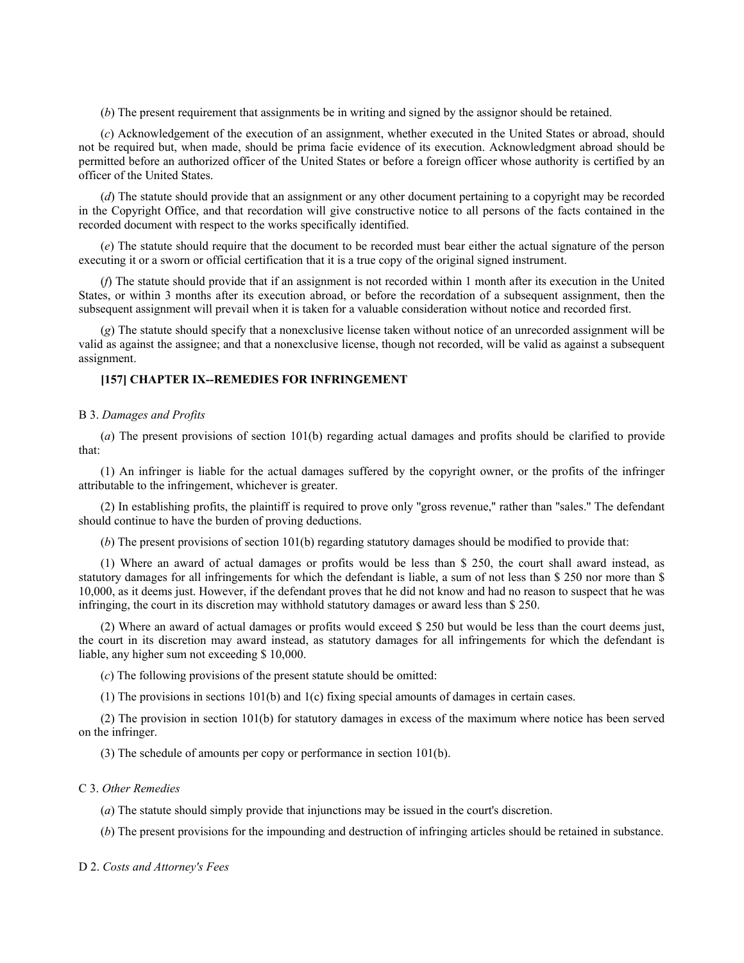(*b*) The present requirement that assignments be in writing and signed by the assignor should be retained.

(*c*) Acknowledgement of the execution of an assignment, whether executed in the United States or abroad, should not be required but, when made, should be prima facie evidence of its execution. Acknowledgment abroad should be permitted before an authorized officer of the United States or before a foreign officer whose authority is certified by an officer of the United States.

(*d*) The statute should provide that an assignment or any other document pertaining to a copyright may be recorded in the Copyright Office, and that recordation will give constructive notice to all persons of the facts contained in the recorded document with respect to the works specifically identified.

(*e*) The statute should require that the document to be recorded must bear either the actual signature of the person executing it or a sworn or official certification that it is a true copy of the original signed instrument.

(*f*) The statute should provide that if an assignment is not recorded within 1 month after its execution in the United States, or within 3 months after its execution abroad, or before the recordation of a subsequent assignment, then the subsequent assignment will prevail when it is taken for a valuable consideration without notice and recorded first.

(*g*) The statute should specify that a nonexclusive license taken without notice of an unrecorded assignment will be valid as against the assignee; and that a nonexclusive license, though not recorded, will be valid as against a subsequent assignment.

# **[157] CHAPTER IX--REMEDIES FOR INFRINGEMENT**

# B 3. *Damages and Profits*

(*a*) The present provisions of section 101(b) regarding actual damages and profits should be clarified to provide that:

(1) An infringer is liable for the actual damages suffered by the copyright owner, or the profits of the infringer attributable to the infringement, whichever is greater.

(2) In establishing profits, the plaintiff is required to prove only ''gross revenue,'' rather than ''sales.'' The defendant should continue to have the burden of proving deductions.

(*b*) The present provisions of section 101(b) regarding statutory damages should be modified to provide that:

(1) Where an award of actual damages or profits would be less than \$ 250, the court shall award instead, as statutory damages for all infringements for which the defendant is liable, a sum of not less than \$ 250 nor more than \$ 10,000, as it deems just. However, if the defendant proves that he did not know and had no reason to suspect that he was infringing, the court in its discretion may withhold statutory damages or award less than \$ 250.

(2) Where an award of actual damages or profits would exceed \$ 250 but would be less than the court deems just, the court in its discretion may award instead, as statutory damages for all infringements for which the defendant is liable, any higher sum not exceeding \$ 10,000.

(*c*) The following provisions of the present statute should be omitted:

(1) The provisions in sections 101(b) and 1(c) fixing special amounts of damages in certain cases.

(2) The provision in section 101(b) for statutory damages in excess of the maximum where notice has been served on the infringer.

(3) The schedule of amounts per copy or performance in section 101(b).

### C 3. *Other Remedies*

(*a*) The statute should simply provide that injunctions may be issued in the court's discretion.

(*b*) The present provisions for the impounding and destruction of infringing articles should be retained in substance.

D 2. *Costs and Attorney's Fees*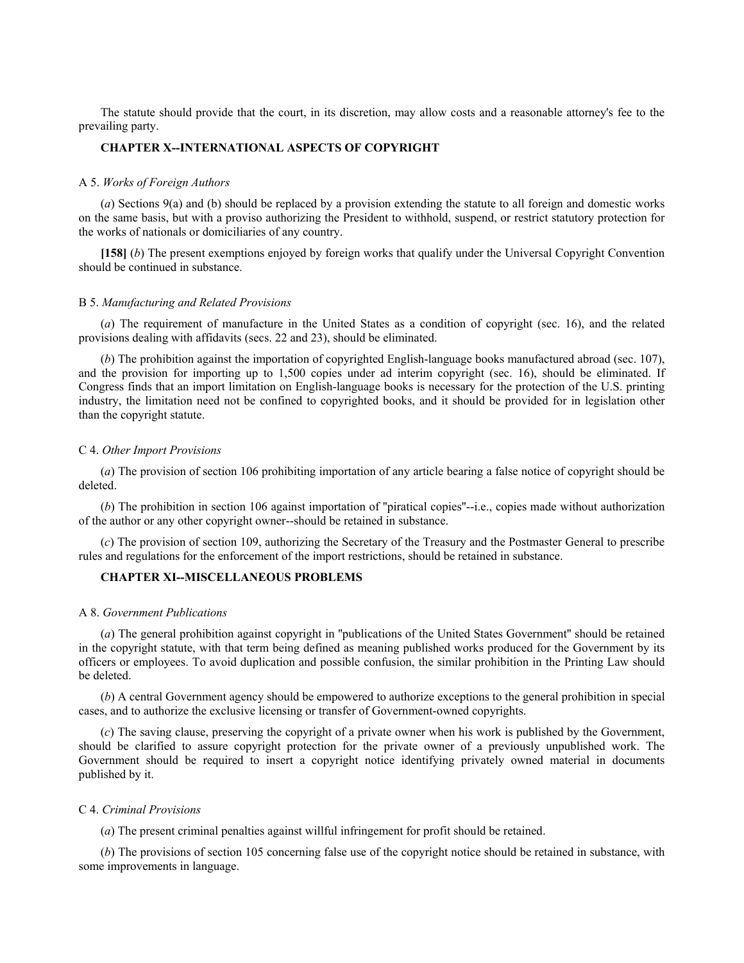The statute should provide that the court, in its discretion, may allow costs and a reasonable attorney's fee to the prevailing party.

# **CHAPTER X--INTERNATIONAL ASPECTS OF COPYRIGHT**

#### A 5. *Works of Foreign Authors*

(*a*) Sections 9(a) and (b) should be replaced by a provision extending the statute to all foreign and domestic works on the same basis, but with a proviso authorizing the President to withhold, suspend, or restrict statutory protection for the works of nationals or domiciliaries of any country.

**[158]** (*b*) The present exemptions enjoyed by foreign works that qualify under the Universal Copyright Convention should be continued in substance.

# B 5. *Manufacturing and Related Provisions*

(*a*) The requirement of manufacture in the United States as a condition of copyright (sec. 16), and the related provisions dealing with affidavits (secs. 22 and 23), should be eliminated.

(*b*) The prohibition against the importation of copyrighted English-language books manufactured abroad (sec. 107), and the provision for importing up to 1,500 copies under ad interim copyright (sec. 16), should be eliminated. If Congress finds that an import limitation on English-language books is necessary for the protection of the U.S. printing industry, the limitation need not be confined to copyrighted books, and it should be provided for in legislation other than the copyright statute.

# C 4. *Other Import Provisions*

(*a*) The provision of section 106 prohibiting importation of any article bearing a false notice of copyright should be deleted.

(*b*) The prohibition in section 106 against importation of ''piratical copies''--i.e., copies made without authorization of the author or any other copyright owner--should be retained in substance.

(*c*) The provision of section 109, authorizing the Secretary of the Treasury and the Postmaster General to prescribe rules and regulations for the enforcement of the import restrictions, should be retained in substance.

# **CHAPTER XI--MISCELLANEOUS PROBLEMS**

#### A 8. *Government Publications*

(*a*) The general prohibition against copyright in ''publications of the United States Government'' should be retained in the copyright statute, with that term being defined as meaning published works produced for the Government by its officers or employees. To avoid duplication and possible confusion, the similar prohibition in the Printing Law should be deleted.

(*b*) A central Government agency should be empowered to authorize exceptions to the general prohibition in special cases, and to authorize the exclusive licensing or transfer of Government-owned copyrights.

(*c*) The saving clause, preserving the copyright of a private owner when his work is published by the Government, should be clarified to assure copyright protection for the private owner of a previously unpublished work. The Government should be required to insert a copyright notice identifying privately owned material in documents published by it.

## C 4. *Criminal Provisions*

(*a*) The present criminal penalties against willful infringement for profit should be retained.

(*b*) The provisions of section 105 concerning false use of the copyright notice should be retained in substance, with some improvements in language.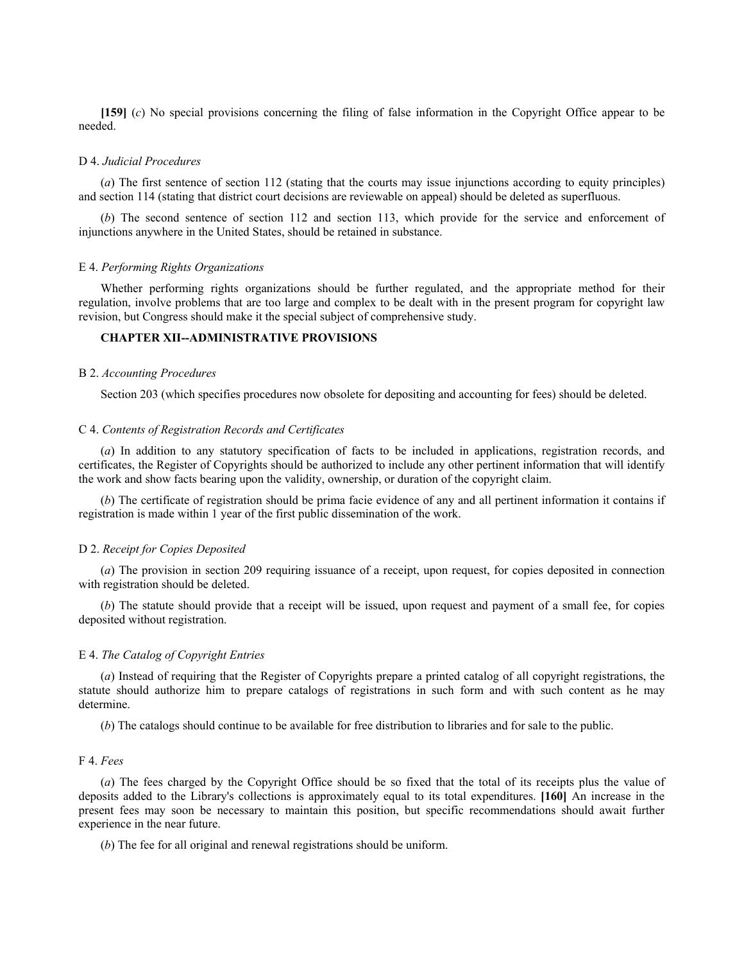**[159]** (*c*) No special provisions concerning the filing of false information in the Copyright Office appear to be needed.

## D 4. *Judicial Procedures*

(*a*) The first sentence of section 112 (stating that the courts may issue injunctions according to equity principles) and section 114 (stating that district court decisions are reviewable on appeal) should be deleted as superfluous.

(*b*) The second sentence of section 112 and section 113, which provide for the service and enforcement of injunctions anywhere in the United States, should be retained in substance.

## E 4. *Performing Rights Organizations*

Whether performing rights organizations should be further regulated, and the appropriate method for their regulation, involve problems that are too large and complex to be dealt with in the present program for copyright law revision, but Congress should make it the special subject of comprehensive study.

# **CHAPTER XII--ADMINISTRATIVE PROVISIONS**

### B 2. *Accounting Procedures*

Section 203 (which specifies procedures now obsolete for depositing and accounting for fees) should be deleted.

### C 4. *Contents of Registration Records and Certificates*

(*a*) In addition to any statutory specification of facts to be included in applications, registration records, and certificates, the Register of Copyrights should be authorized to include any other pertinent information that will identify the work and show facts bearing upon the validity, ownership, or duration of the copyright claim.

(*b*) The certificate of registration should be prima facie evidence of any and all pertinent information it contains if registration is made within 1 year of the first public dissemination of the work.

### D 2. *Receipt for Copies Deposited*

(*a*) The provision in section 209 requiring issuance of a receipt, upon request, for copies deposited in connection with registration should be deleted.

(*b*) The statute should provide that a receipt will be issued, upon request and payment of a small fee, for copies deposited without registration.

# E 4. *The Catalog of Copyright Entries*

(*a*) Instead of requiring that the Register of Copyrights prepare a printed catalog of all copyright registrations, the statute should authorize him to prepare catalogs of registrations in such form and with such content as he may determine.

(*b*) The catalogs should continue to be available for free distribution to libraries and for sale to the public.

## F 4. *Fees*

(*a*) The fees charged by the Copyright Office should be so fixed that the total of its receipts plus the value of deposits added to the Library's collections is approximately equal to its total expenditures. **[160]** An increase in the present fees may soon be necessary to maintain this position, but specific recommendations should await further experience in the near future.

(*b*) The fee for all original and renewal registrations should be uniform.